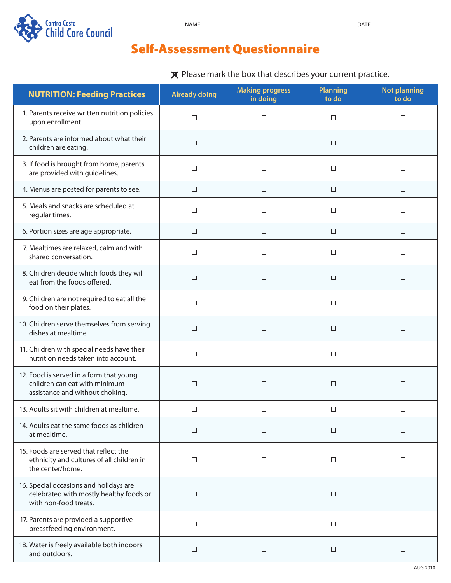

## Self-Assessment Questionnaire

 $\times$  Please mark the box that describes your current practice.

| <b>NUTRITION: Feeding Practices</b>                                                                         | <b>Already doing</b> | <b>Making progress</b><br>in doing | <b>Planning</b><br>to do | <b>Not planning</b><br>to do |
|-------------------------------------------------------------------------------------------------------------|----------------------|------------------------------------|--------------------------|------------------------------|
| 1. Parents receive written nutrition policies<br>upon enrollment.                                           | $\Box$               | $\Box$                             | $\Box$                   | $\Box$                       |
| 2. Parents are informed about what their<br>children are eating.                                            | $\Box$               | □                                  | $\Box$                   | $\Box$                       |
| 3. If food is brought from home, parents<br>are provided with guidelines.                                   | $\Box$               | $\Box$                             | $\Box$                   | $\Box$                       |
| 4. Menus are posted for parents to see.                                                                     | $\Box$               | $\Box$                             | $\Box$                   | $\Box$                       |
| 5. Meals and snacks are scheduled at<br>regular times.                                                      | $\Box$               | $\Box$                             | $\Box$                   | $\Box$                       |
| 6. Portion sizes are age appropriate.                                                                       | $\Box$               | □                                  | $\Box$                   | □                            |
| 7. Mealtimes are relaxed, calm and with<br>shared conversation.                                             | $\Box$               | □                                  | $\Box$                   | $\Box$                       |
| 8. Children decide which foods they will<br>eat from the foods offered.                                     | $\Box$               | □                                  | $\Box$                   | $\Box$                       |
| 9. Children are not required to eat all the<br>food on their plates.                                        | $\Box$               | $\Box$                             | $\Box$                   | $\Box$                       |
| 10. Children serve themselves from serving<br>dishes at mealtime.                                           | $\Box$               | □                                  | $\Box$                   | $\Box$                       |
| 11. Children with special needs have their<br>nutrition needs taken into account.                           | $\Box$               | □                                  | $\Box$                   | $\Box$                       |
| 12. Food is served in a form that young<br>children can eat with minimum<br>assistance and without choking. | □                    | □                                  | $\Box$                   | $\Box$                       |
| 13. Adults sit with children at mealtime.                                                                   | $\Box$               | $\Box$                             | $\Box$                   | $\Box$                       |
| 14. Adults eat the same foods as children<br>at mealtime.                                                   | $\Box$               | □                                  | $\Box$                   | $\Box$                       |
| 15. Foods are served that reflect the<br>ethnicity and cultures of all children in<br>the center/home.      | $\Box$               | □                                  | $\Box$                   | □                            |
| 16. Special occasions and holidays are<br>celebrated with mostly healthy foods or<br>with non-food treats.  | □                    | □                                  | $\Box$                   | □                            |
| 17. Parents are provided a supportive<br>breastfeeding environment.                                         | $\Box$               | $\Box$                             | $\Box$                   | $\Box$                       |
| 18. Water is freely available both indoors<br>and outdoors.                                                 | $\Box$               | □                                  | $\Box$                   | □                            |